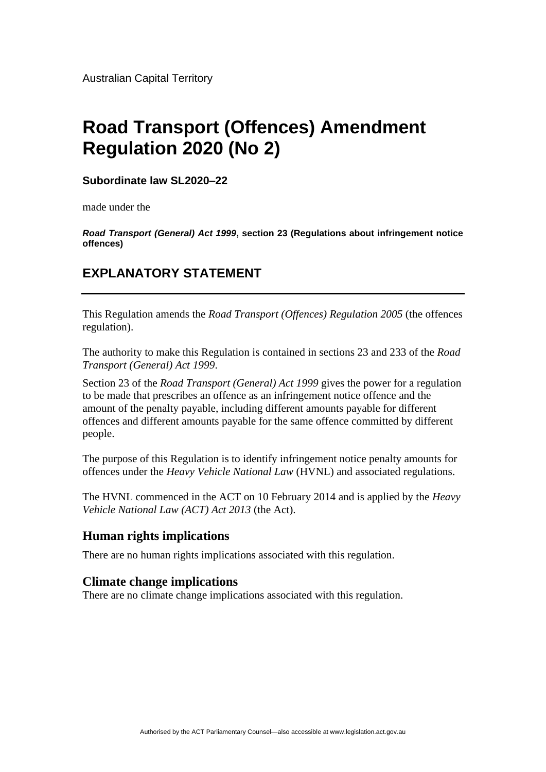Australian Capital Territory

# **Road Transport (Offences) Amendment Regulation 2020 (No 2)**

**Subordinate law SL2020–22**

made under the

*Road Transport (General) Act 1999***, section 23 (Regulations about infringement notice offences)**

# **EXPLANATORY STATEMENT**

This Regulation amends the *Road Transport (Offences) Regulation 2005* (the offences regulation).

The authority to make this Regulation is contained in sections 23 and 233 of the *Road Transport (General) Act 1999*.

Section 23 of the *Road Transport (General) Act 1999* gives the power for a regulation to be made that prescribes an offence as an infringement notice offence and the amount of the penalty payable, including different amounts payable for different offences and different amounts payable for the same offence committed by different people.

The purpose of this Regulation is to identify infringement notice penalty amounts for offences under the *Heavy Vehicle National Law* (HVNL) and associated regulations.

The HVNL commenced in the ACT on 10 February 2014 and is applied by the *Heavy Vehicle National Law (ACT) Act 2013* (the Act).

# **Human rights implications**

There are no human rights implications associated with this regulation.

#### **Climate change implications**

There are no climate change implications associated with this regulation.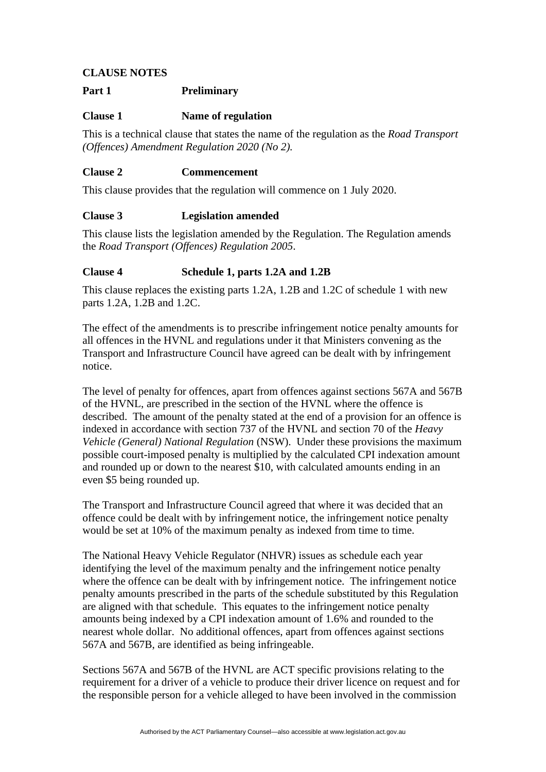# **CLAUSE NOTES**

## **Part 1 Preliminary**

#### **Clause 1 Name of regulation**

This is a technical clause that states the name of the regulation as the *Road Transport (Offences) Amendment Regulation 2020 (No 2).*

#### **Clause 2 Commencement**

This clause provides that the regulation will commence on 1 July 2020.

#### **Clause 3 Legislation amended**

This clause lists the legislation amended by the Regulation. The Regulation amends the *Road Transport (Offences) Regulation 2005*.

## **Clause 4 Schedule 1, parts 1.2A and 1.2B**

This clause replaces the existing parts 1.2A, 1.2B and 1.2C of schedule 1 with new parts 1.2A, 1.2B and 1.2C.

The effect of the amendments is to prescribe infringement notice penalty amounts for all offences in the HVNL and regulations under it that Ministers convening as the Transport and Infrastructure Council have agreed can be dealt with by infringement notice.

The level of penalty for offences, apart from offences against sections 567A and 567B of the HVNL, are prescribed in the section of the HVNL where the offence is described. The amount of the penalty stated at the end of a provision for an offence is indexed in accordance with section 737 of the HVNL and section 70 of the *Heavy Vehicle (General) National Regulation* (NSW). Under these provisions the maximum possible court-imposed penalty is multiplied by the calculated CPI indexation amount and rounded up or down to the nearest \$10, with calculated amounts ending in an even \$5 being rounded up.

The Transport and Infrastructure Council agreed that where it was decided that an offence could be dealt with by infringement notice, the infringement notice penalty would be set at 10% of the maximum penalty as indexed from time to time.

The National Heavy Vehicle Regulator (NHVR) issues as schedule each year identifying the level of the maximum penalty and the infringement notice penalty where the offence can be dealt with by infringement notice. The infringement notice penalty amounts prescribed in the parts of the schedule substituted by this Regulation are aligned with that schedule. This equates to the infringement notice penalty amounts being indexed by a CPI indexation amount of 1.6% and rounded to the nearest whole dollar. No additional offences, apart from offences against sections 567A and 567B, are identified as being infringeable.

Sections 567A and 567B of the HVNL are ACT specific provisions relating to the requirement for a driver of a vehicle to produce their driver licence on request and for the responsible person for a vehicle alleged to have been involved in the commission